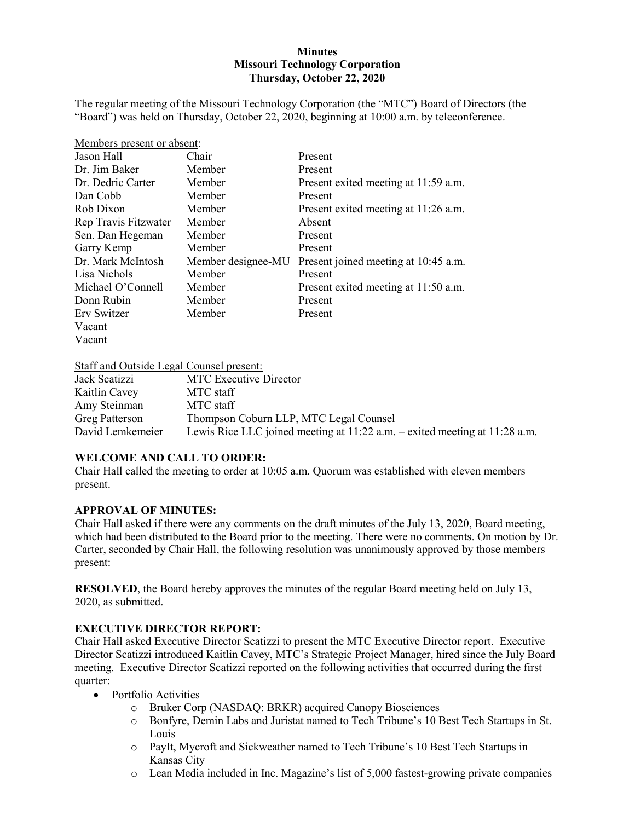# **Minutes Missouri Technology Corporation Thursday, October 22, 2020**

The regular meeting of the Missouri Technology Corporation (the "MTC") Board of Directors (the "Board") was held on Thursday, October 22, 2020, beginning at 10:00 a.m. by teleconference.

| Members present or absent: |                    |                                      |  |  |  |
|----------------------------|--------------------|--------------------------------------|--|--|--|
| Jason Hall                 | Chair              | Present                              |  |  |  |
| Dr. Jim Baker              | Member             | Present                              |  |  |  |
| Dr. Dedric Carter          | Member             | Present exited meeting at 11:59 a.m. |  |  |  |
| Dan Cobb                   | Member             | Present                              |  |  |  |
| Rob Dixon                  | Member             | Present exited meeting at 11:26 a.m. |  |  |  |
| Rep Travis Fitzwater       | Member             | Absent                               |  |  |  |
| Sen. Dan Hegeman           | Member             | Present                              |  |  |  |
| Garry Kemp                 | Member             | Present                              |  |  |  |
| Dr. Mark McIntosh          | Member designee-MU | Present joined meeting at 10:45 a.m. |  |  |  |
| Lisa Nichols               | Member             | Present                              |  |  |  |
| Michael O'Connell          | Member             | Present exited meeting at 11:50 a.m. |  |  |  |
| Donn Rubin                 | Member             | Present                              |  |  |  |
| Erv Switzer                | Member             | Present                              |  |  |  |
| Vacant                     |                    |                                      |  |  |  |
| Vacant                     |                    |                                      |  |  |  |

Staff and Outside Legal Counsel present:

| Jack Scatizzi    | <b>MTC</b> Executive Director                                              |
|------------------|----------------------------------------------------------------------------|
| Kaitlin Cavey    | MTC staff                                                                  |
| Amy Steinman     | MTC staff                                                                  |
| Greg Patterson   | Thompson Coburn LLP, MTC Legal Counsel                                     |
| David Lemkemeier | Lewis Rice LLC joined meeting at 11:22 a.m. – exited meeting at 11:28 a.m. |

## **WELCOME AND CALL TO ORDER:**

Chair Hall called the meeting to order at 10:05 a.m. Quorum was established with eleven members present.

## **APPROVAL OF MINUTES:**

Chair Hall asked if there were any comments on the draft minutes of the July 13, 2020, Board meeting, which had been distributed to the Board prior to the meeting. There were no comments. On motion by Dr. Carter, seconded by Chair Hall, the following resolution was unanimously approved by those members present:

**RESOLVED**, the Board hereby approves the minutes of the regular Board meeting held on July 13, 2020, as submitted.

# **EXECUTIVE DIRECTOR REPORT:**

Chair Hall asked Executive Director Scatizzi to present the MTC Executive Director report. Executive Director Scatizzi introduced Kaitlin Cavey, MTC's Strategic Project Manager, hired since the July Board meeting. Executive Director Scatizzi reported on the following activities that occurred during the first quarter:

- Portfolio Activities
	- o Bruker Corp (NASDAQ: BRKR) acquired Canopy Biosciences
	- o [Bonfyre, Demin Labs and Juristat](http://thetechtribune.com/10-best-tech-startups-in-st-louis/) [named to Tech Tribune's 10 Best Tech Startups in St.](http://thetechtribune.com/10-best-tech-startups-in-st-louis/)  [Louis](http://thetechtribune.com/10-best-tech-startups-in-st-louis/)
	- o [PayIt, Mycroft and Sickweather](http://thetechtribune.com/10-best-tech-startups-in-kansas-city/) [named to Tech Tribune's 10 Best Tech Startups in](http://thetechtribune.com/10-best-tech-startups-in-kansas-city/)  [Kansas City](http://thetechtribune.com/10-best-tech-startups-in-kansas-city/)
	- o [Lean Media included in Inc. Magazine's list of 5,000 fastest-growing private companies](https://www.bizjournals.com/stlouis/news/2020/08/13/st-louis-presence-on-inc-5000-list-2020.html)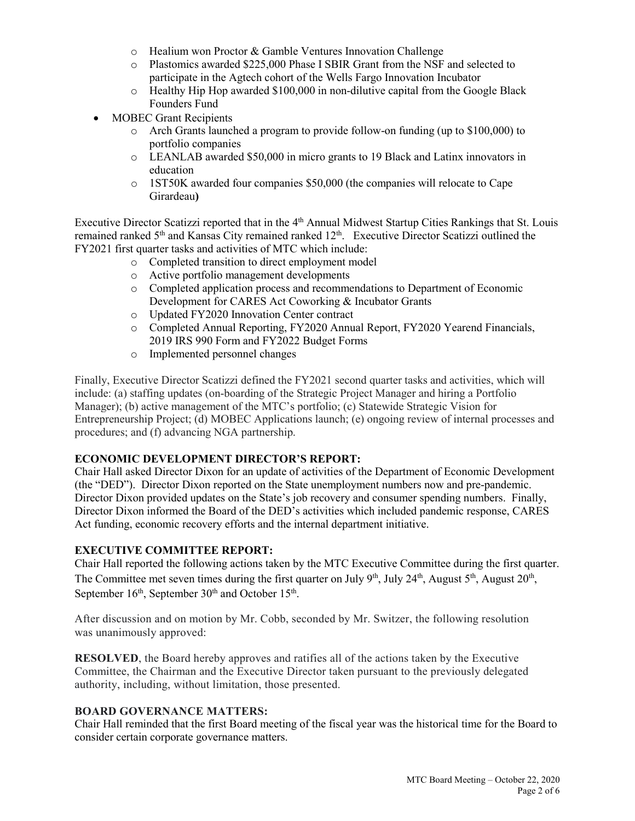- o [Healium won Proctor & Gamble Ventures Innovation Challenge](https://www.startlandnews.com/2020/07/healium-covid-19-pg-ventures-innovation-challenge/)
- o [Plastomics awarded \\$225,000 Phase I SBIR Grant from the NSF and selected to](https://www.bizjournals.com/stlouis/news/2020/08/06/st-louis-agtech-startup-snags-federal-grant.html)  [participate in the Agtech](https://www.bizjournals.com/stlouis/news/2020/08/06/st-louis-agtech-startup-snags-federal-grant.html) [cohort of the Wells Fargo Innovation Incubator](https://www.bizjournals.com/stlouis/news/2020/08/06/st-louis-agtech-startup-snags-federal-grant.html)
- $\circ$  Healthy Hip Hop awarded \$100,000 in non-dilutive capital from the Google Black [Founders Fund](https://blog.google/outreach-initiatives/entrepreneurs/black-founders-generational-change)
- **MOBEC Grant Recipients** 
	- o Arch Grants launched [a program to provide follow-on funding \(up to \\$100,000\) to](https://www.bizjournals.com/stlouis/news/2020/09/08/arch-grants-launches-new-program-to-provide-follow.html)  [portfolio companies](https://www.bizjournals.com/stlouis/news/2020/09/08/arch-grants-launches-new-program-to-provide-follow.html)
	- o LEANLAB awarded \$50,000 [in micro grants to 19 Black and Latinx innovators in](https://www.startlandnews.com/2020/08/leanlab-micro-grant-support-fund/)  [education](https://www.startlandnews.com/2020/08/leanlab-micro-grant-support-fund/)
	- o [1ST50K awarded four companies \\$50,000](https://www.kfvs12.com/2020/08/14/k-awarded-startup-companies-cape-girardeau/) (the companies will relocate to Cape [Girardeau](https://www.kfvs12.com/2020/08/14/k-awarded-startup-companies-cape-girardeau/)**)**

Executive Director Scatizzi reported that in the 4<sup>th</sup> Annual Midwest Startup Cities Rankings that St. Louis remained ranked 5<sup>th</sup> and Kansas City remained ranked 12<sup>th</sup>. Executive Director Scatizzi outlined the FY2021 first quarter tasks and activities of MTC which include:

- o Completed transition to direct employment model
- o Active portfolio management developments
- o Completed application process and recommendations to Department of Economic Development for CARES Act Coworking & Incubator Grants
- o Updated FY2020 Innovation Center contract
- o Completed Annual Reporting, FY2020 Annual Report, FY2020 Yearend Financials, 2019 IRS 990 Form and FY2022 Budget Forms
- o Implemented personnel changes

Finally, Executive Director Scatizzi defined the FY2021 second quarter tasks and activities, which will include: (a) staffing updates (on-boarding of the Strategic Project Manager and hiring a Portfolio Manager); (b) active management of the MTC's portfolio; (c) Statewide Strategic Vision for Entrepreneurship Project; (d) MOBEC Applications launch; (e) ongoing review of internal processes and procedures; and (f) advancing NGA partnership.

# **ECONOMIC DEVELOPMENT DIRECTOR'S REPORT:**

Chair Hall asked Director Dixon for an update of activities of the Department of Economic Development (the "DED"). Director Dixon reported on the State unemployment numbers now and pre-pandemic. Director Dixon provided updates on the State's job recovery and consumer spending numbers. Finally, Director Dixon informed the Board of the DED's activities which included pandemic response, CARES Act funding, economic recovery efforts and the internal department initiative.

# **EXECUTIVE COMMITTEE REPORT:**

Chair Hall reported the following actions taken by the MTC Executive Committee during the first quarter. The Committee met seven times during the first quarter on July 9<sup>th</sup>, July 24<sup>th</sup>, August 5<sup>th</sup>, August 20<sup>th</sup>, September 16<sup>th</sup>, September 30<sup>th</sup> and October 15<sup>th</sup>.

After discussion and on motion by Mr. Cobb, seconded by Mr. Switzer, the following resolution was unanimously approved:

**RESOLVED**, the Board hereby approves and ratifies all of the actions taken by the Executive Committee, the Chairman and the Executive Director taken pursuant to the previously delegated authority, including, without limitation, those presented.

# **BOARD GOVERNANCE MATTERS:**

Chair Hall reminded that the first Board meeting of the fiscal year was the historical time for the Board to consider certain corporate governance matters.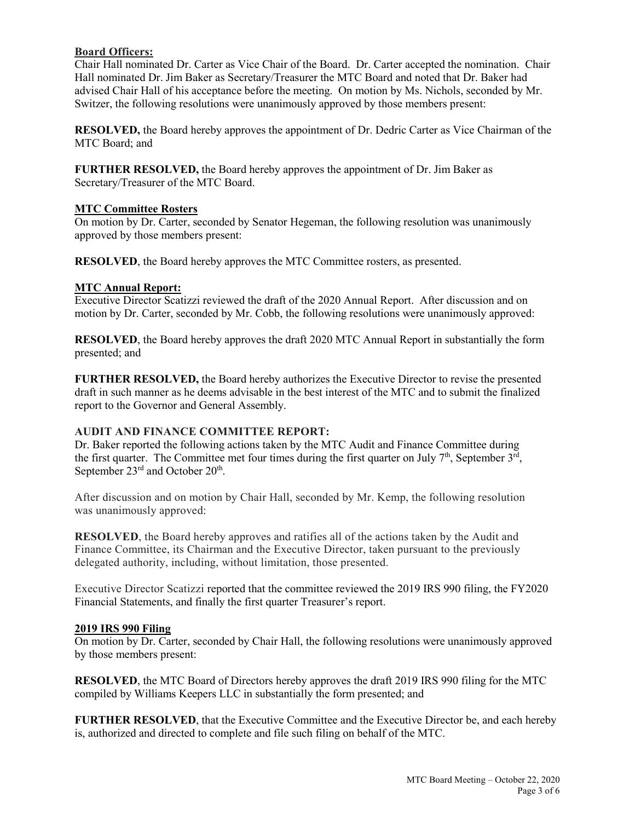# **Board Officers:**

Chair Hall nominated Dr. Carter as Vice Chair of the Board. Dr. Carter accepted the nomination. Chair Hall nominated Dr. Jim Baker as Secretary/Treasurer the MTC Board and noted that Dr. Baker had advised Chair Hall of his acceptance before the meeting. On motion by Ms. Nichols, seconded by Mr. Switzer, the following resolutions were unanimously approved by those members present:

**RESOLVED,** the Board hereby approves the appointment of Dr. Dedric Carter as Vice Chairman of the MTC Board; and

**FURTHER RESOLVED,** the Board hereby approves the appointment of Dr. Jim Baker as Secretary/Treasurer of the MTC Board.

## **MTC Committee Rosters**

On motion by Dr. Carter, seconded by Senator Hegeman, the following resolution was unanimously approved by those members present:

**RESOLVED**, the Board hereby approves the MTC Committee rosters, as presented.

#### **MTC Annual Report:**

Executive Director Scatizzi reviewed the draft of the 2020 Annual Report. After discussion and on motion by Dr. Carter, seconded by Mr. Cobb, the following resolutions were unanimously approved:

**RESOLVED**, the Board hereby approves the draft 2020 MTC Annual Report in substantially the form presented; and

**FURTHER RESOLVED,** the Board hereby authorizes the Executive Director to revise the presented draft in such manner as he deems advisable in the best interest of the MTC and to submit the finalized report to the Governor and General Assembly.

## **AUDIT AND FINANCE COMMITTEE REPORT:**

Dr. Baker reported the following actions taken by the MTC Audit and Finance Committee during the first quarter. The Committee met four times during the first quarter on July  $7<sup>th</sup>$ , September  $3<sup>rd</sup>$ , September 23<sup>rd</sup> and October 20<sup>th</sup>.

After discussion and on motion by Chair Hall, seconded by Mr. Kemp, the following resolution was unanimously approved:

**RESOLVED**, the Board hereby approves and ratifies all of the actions taken by the Audit and Finance Committee, its Chairman and the Executive Director, taken pursuant to the previously delegated authority, including, without limitation, those presented.

Executive Director Scatizzi reported that the committee reviewed the 2019 IRS 990 filing, the FY2020 Financial Statements, and finally the first quarter Treasurer's report.

#### **2019 IRS 990 Filing**

On motion by Dr. Carter, seconded by Chair Hall, the following resolutions were unanimously approved by those members present:

**RESOLVED**, the MTC Board of Directors hereby approves the draft 2019 IRS 990 filing for the MTC compiled by Williams Keepers LLC in substantially the form presented; and

**FURTHER RESOLVED**, that the Executive Committee and the Executive Director be, and each hereby is, authorized and directed to complete and file such filing on behalf of the MTC.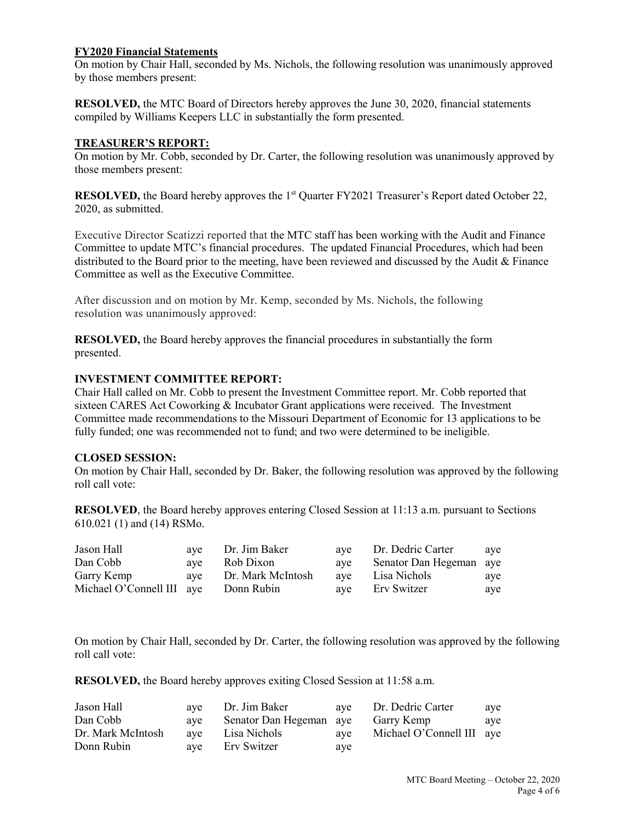# **FY2020 Financial Statements**

On motion by Chair Hall, seconded by Ms. Nichols, the following resolution was unanimously approved by those members present:

**RESOLVED,** the MTC Board of Directors hereby approves the June 30, 2020, financial statements compiled by Williams Keepers LLC in substantially the form presented.

## **TREASURER'S REPORT:**

On motion by Mr. Cobb, seconded by Dr. Carter, the following resolution was unanimously approved by those members present:

**RESOLVED,** the Board hereby approves the 1<sup>st</sup> Quarter FY2021 Treasurer's Report dated October 22, 2020, as submitted.

Executive Director Scatizzi reported that the MTC staff has been working with the Audit and Finance Committee to update MTC's financial procedures. The updated Financial Procedures, which had been distributed to the Board prior to the meeting, have been reviewed and discussed by the Audit & Finance Committee as well as the Executive Committee.

After discussion and on motion by Mr. Kemp, seconded by Ms. Nichols, the following resolution was unanimously approved:

**RESOLVED,** the Board hereby approves the financial procedures in substantially the form presented.

#### **INVESTMENT COMMITTEE REPORT:**

Chair Hall called on Mr. Cobb to present the Investment Committee report. Mr. Cobb reported that sixteen CARES Act Coworking & Incubator Grant applications were received. The Investment Committee made recommendations to the Missouri Department of Economic for 13 applications to be fully funded; one was recommended not to fund; and two were determined to be ineligible.

#### **CLOSED SESSION:**

On motion by Chair Hall, seconded by Dr. Baker, the following resolution was approved by the following roll call vote:

**RESOLVED**, the Board hereby approves entering Closed Session at 11:13 a.m. pursuant to Sections 610.021 (1) and (14) RSMo.

| Jason Hall                           | aye Dr. Jim Baker     | aye Dr. Dedric Carter       | aye |
|--------------------------------------|-----------------------|-----------------------------|-----|
| Dan Cobb                             | ave Rob Dixon         | aye Senator Dan Hegeman aye |     |
| Garry Kemp                           | aye Dr. Mark McIntosh | aye Lisa Nichols            | aye |
| Michael O'Connell III aye Donn Rubin |                       | aye Erv Switzer             | aye |

On motion by Chair Hall, seconded by Dr. Carter, the following resolution was approved by the following roll call vote:

**RESOLVED,** the Board hereby approves exiting Closed Session at 11:58 a.m.

| Jason Hall        | aye Dr. Jim Baker aye Dr. Dedric Carter |     |                               | aye |
|-------------------|-----------------------------------------|-----|-------------------------------|-----|
| Dan Cobb          | aye Senator Dan Hegeman aye Garry Kemp  |     |                               | aye |
| Dr. Mark McIntosh | aye Lisa Nichols                        |     | aye Michael O'Connell III aye |     |
| Donn Rubin        | aye Erv Switzer                         | aye |                               |     |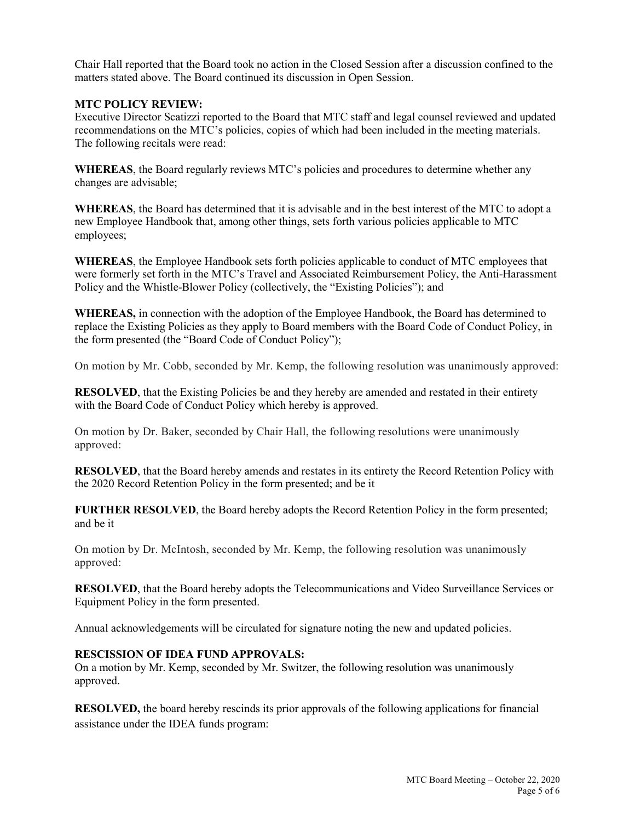Chair Hall reported that the Board took no action in the Closed Session after a discussion confined to the matters stated above. The Board continued its discussion in Open Session.

# **MTC POLICY REVIEW:**

Executive Director Scatizzi reported to the Board that MTC staff and legal counsel reviewed and updated recommendations on the MTC's policies, copies of which had been included in the meeting materials. The following recitals were read:

**WHEREAS**, the Board regularly reviews MTC's policies and procedures to determine whether any changes are advisable;

**WHEREAS**, the Board has determined that it is advisable and in the best interest of the MTC to adopt a new Employee Handbook that, among other things, sets forth various policies applicable to MTC employees;

**WHEREAS**, the Employee Handbook sets forth policies applicable to conduct of MTC employees that were formerly set forth in the MTC's Travel and Associated Reimbursement Policy, the Anti-Harassment Policy and the Whistle-Blower Policy (collectively, the "Existing Policies"); and

**WHEREAS,** in connection with the adoption of the Employee Handbook, the Board has determined to replace the Existing Policies as they apply to Board members with the Board Code of Conduct Policy, in the form presented (the "Board Code of Conduct Policy");

On motion by Mr. Cobb, seconded by Mr. Kemp, the following resolution was unanimously approved:

**RESOLVED**, that the Existing Policies be and they hereby are amended and restated in their entirety with the Board Code of Conduct Policy which hereby is approved.

On motion by Dr. Baker, seconded by Chair Hall, the following resolutions were unanimously approved:

**RESOLVED**, that the Board hereby amends and restates in its entirety the Record Retention Policy with the 2020 Record Retention Policy in the form presented; and be it

**FURTHER RESOLVED**, the Board hereby adopts the Record Retention Policy in the form presented; and be it

On motion by Dr. McIntosh, seconded by Mr. Kemp, the following resolution was unanimously approved:

**RESOLVED**, that the Board hereby adopts the Telecommunications and Video Surveillance Services or Equipment Policy in the form presented.

Annual acknowledgements will be circulated for signature noting the new and updated policies.

## **RESCISSION OF IDEA FUND APPROVALS:**

On a motion by Mr. Kemp, seconded by Mr. Switzer, the following resolution was unanimously approved.

**RESOLVED,** the board hereby rescinds its prior approvals of the following applications for financial assistance under the IDEA funds program: